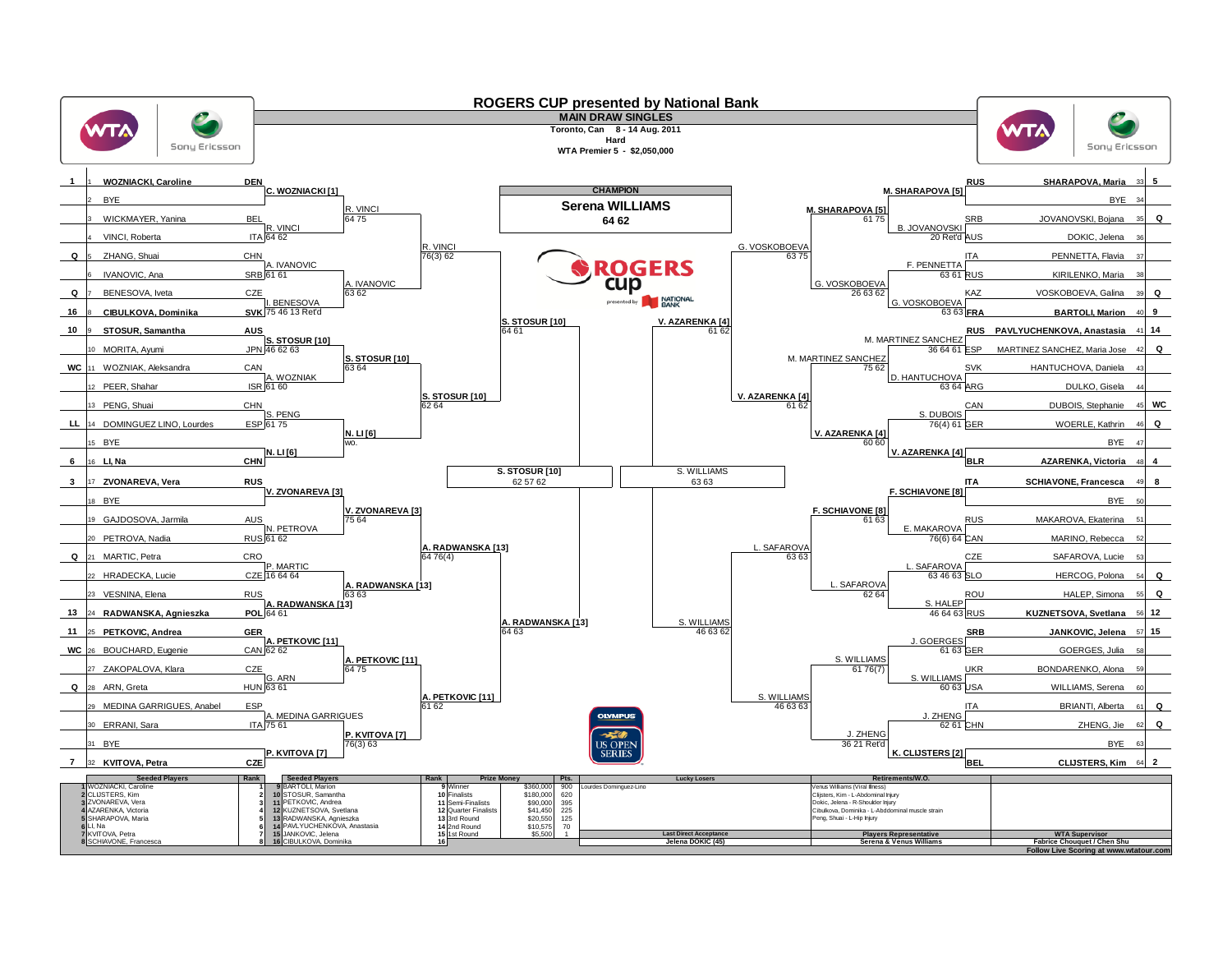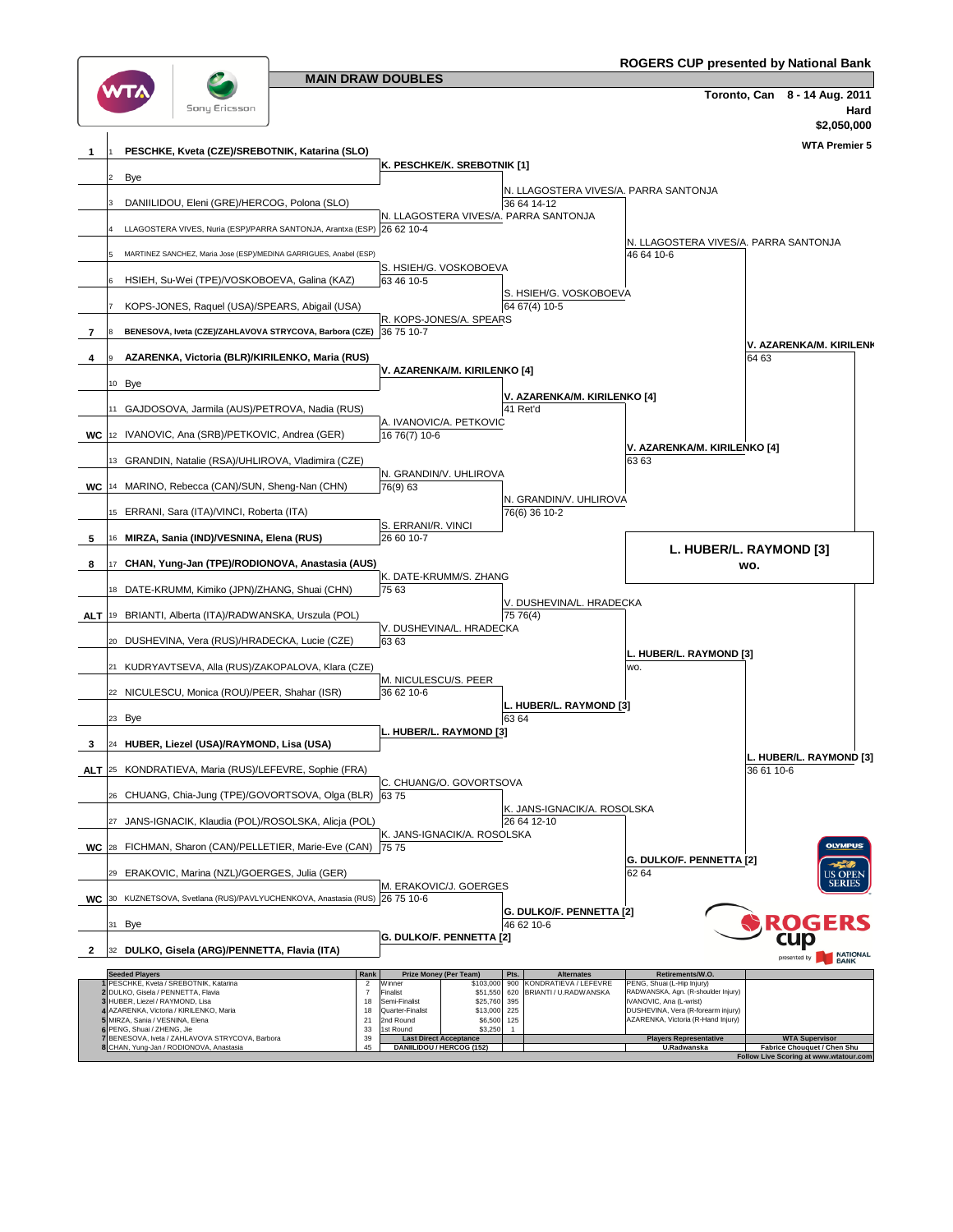